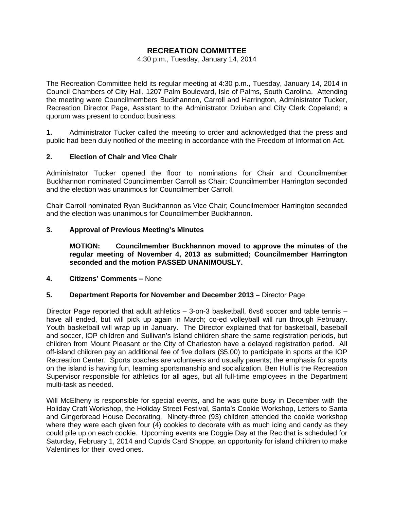# **RECREATION COMMITTEE**

#### 4:30 p.m., Tuesday, January 14, 2014

The Recreation Committee held its regular meeting at 4:30 p.m., Tuesday, January 14, 2014 in Council Chambers of City Hall, 1207 Palm Boulevard, Isle of Palms, South Carolina. Attending the meeting were Councilmembers Buckhannon, Carroll and Harrington, Administrator Tucker, Recreation Director Page, Assistant to the Administrator Dziuban and City Clerk Copeland; a quorum was present to conduct business.

**1.** Administrator Tucker called the meeting to order and acknowledged that the press and public had been duly notified of the meeting in accordance with the Freedom of Information Act.

## **2. Election of Chair and Vice Chair**

Administrator Tucker opened the floor to nominations for Chair and Councilmember Buckhannon nominated Councilmember Carroll as Chair; Councilmember Harrington seconded and the election was unanimous for Councilmember Carroll.

Chair Carroll nominated Ryan Buckhannon as Vice Chair; Councilmember Harrington seconded and the election was unanimous for Councilmember Buckhannon.

## **3. Approval of Previous Meeting's Minutes**

 **MOTION: Councilmember Buckhannon moved to approve the minutes of the regular meeting of November 4, 2013 as submitted; Councilmember Harrington seconded and the motion PASSED UNANIMOUSLY.** 

### **4. Citizens' Comments –** None

### **5. Department Reports for November and December 2013 –** Director Page

Director Page reported that adult athletics – 3-on-3 basketball, 6vs6 soccer and table tennis – have all ended, but will pick up again in March; co-ed volleyball will run through February. Youth basketball will wrap up in January. The Director explained that for basketball, baseball and soccer, IOP children and Sullivan's Island children share the same registration periods, but children from Mount Pleasant or the City of Charleston have a delayed registration period. All off-island children pay an additional fee of five dollars (\$5.00) to participate in sports at the IOP Recreation Center. Sports coaches are volunteers and usually parents; the emphasis for sports on the island is having fun, learning sportsmanship and socialization. Ben Hull is the Recreation Supervisor responsible for athletics for all ages, but all full-time employees in the Department multi-task as needed.

Will McElheny is responsible for special events, and he was quite busy in December with the Holiday Craft Workshop, the Holiday Street Festival, Santa's Cookie Workshop, Letters to Santa and Gingerbread House Decorating. Ninety-three (93) children attended the cookie workshop where they were each given four (4) cookies to decorate with as much icing and candy as they could pile up on each cookie. Upcoming events are Doggie Day at the Rec that is scheduled for Saturday, February 1, 2014 and Cupids Card Shoppe, an opportunity for island children to make Valentines for their loved ones.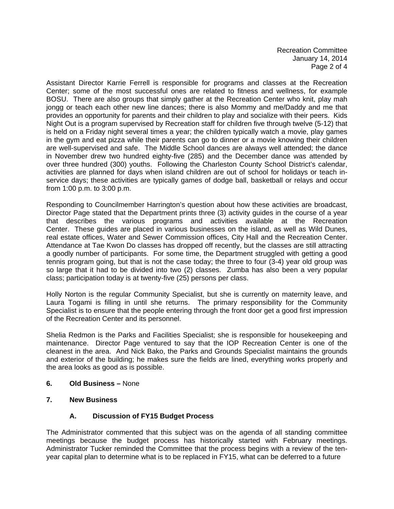Recreation Committee January 14, 2014 Page 2 of 4

Assistant Director Karrie Ferrell is responsible for programs and classes at the Recreation Center; some of the most successful ones are related to fitness and wellness, for example BOSU. There are also groups that simply gather at the Recreation Center who knit, play mah jongg or teach each other new line dances; there is also Mommy and me/Daddy and me that provides an opportunity for parents and their children to play and socialize with their peers. Kids Night Out is a program supervised by Recreation staff for children five through twelve (5-12) that is held on a Friday night several times a year; the children typically watch a movie, play games in the gym and eat pizza while their parents can go to dinner or a movie knowing their children are well-supervised and safe. The Middle School dances are always well attended; the dance in November drew two hundred eighty-five (285) and the December dance was attended by over three hundred (300) youths. Following the Charleston County School District's calendar, activities are planned for days when island children are out of school for holidays or teach inservice days; these activities are typically games of dodge ball, basketball or relays and occur from 1:00 p.m. to 3:00 p.m.

Responding to Councilmember Harrington's question about how these activities are broadcast, Director Page stated that the Department prints three (3) activity guides in the course of a year that describes the various programs and activities available at the Recreation Center. These guides are placed in various businesses on the island, as well as Wild Dunes, real estate offices, Water and Sewer Commission offices, City Hall and the Recreation Center. Attendance at Tae Kwon Do classes has dropped off recently, but the classes are still attracting a goodly number of participants. For some time, the Department struggled with getting a good tennis program going, but that is not the case today; the three to four (3-4) year old group was so large that it had to be divided into two (2) classes. Zumba has also been a very popular class; participation today is at twenty-five (25) persons per class.

Holly Norton is the regular Community Specialist, but she is currently on maternity leave, and Laura Togami is filling in until she returns. The primary responsibility for the Community Specialist is to ensure that the people entering through the front door get a good first impression of the Recreation Center and its personnel.

Shelia Redmon is the Parks and Facilities Specialist; she is responsible for housekeeping and maintenance. Director Page ventured to say that the IOP Recreation Center is one of the cleanest in the area. And Nick Bako, the Parks and Grounds Specialist maintains the grounds and exterior of the building; he makes sure the fields are lined, everything works properly and the area looks as good as is possible.

- **6. Old Business** None
- **7. New Business**

## **A. Discussion of FY15 Budget Process**

The Administrator commented that this subject was on the agenda of all standing committee meetings because the budget process has historically started with February meetings. Administrator Tucker reminded the Committee that the process begins with a review of the tenyear capital plan to determine what is to be replaced in FY15, what can be deferred to a future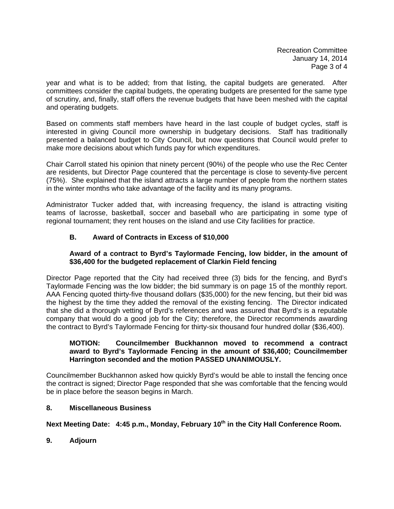Recreation Committee January 14, 2014 Page 3 of 4

year and what is to be added; from that listing, the capital budgets are generated. After committees consider the capital budgets, the operating budgets are presented for the same type of scrutiny, and, finally, staff offers the revenue budgets that have been meshed with the capital and operating budgets.

Based on comments staff members have heard in the last couple of budget cycles, staff is interested in giving Council more ownership in budgetary decisions. Staff has traditionally presented a balanced budget to City Council, but now questions that Council would prefer to make more decisions about which funds pay for which expenditures.

Chair Carroll stated his opinion that ninety percent (90%) of the people who use the Rec Center are residents, but Director Page countered that the percentage is close to seventy-five percent (75%). She explained that the island attracts a large number of people from the northern states in the winter months who take advantage of the facility and its many programs.

Administrator Tucker added that, with increasing frequency, the island is attracting visiting teams of lacrosse, basketball, soccer and baseball who are participating in some type of regional tournament; they rent houses on the island and use City facilities for practice.

# **B. Award of Contracts in Excess of \$10,000**

## **Award of a contract to Byrd's Taylormade Fencing, low bidder, in the amount of \$36,400 for the budgeted replacement of Clarkin Field fencing**

Director Page reported that the City had received three (3) bids for the fencing, and Byrd's Taylormade Fencing was the low bidder; the bid summary is on page 15 of the monthly report. AAA Fencing quoted thirty-five thousand dollars (\$35,000) for the new fencing, but their bid was the highest by the time they added the removal of the existing fencing. The Director indicated that she did a thorough vetting of Byrd's references and was assured that Byrd's is a reputable company that would do a good job for the City; therefore, the Director recommends awarding the contract to Byrd's Taylormade Fencing for thirty-six thousand four hundred dollar (\$36,400).

## **MOTION: Councilmember Buckhannon moved to recommend a contract award to Byrd's Taylormade Fencing in the amount of \$36,400; Councilmember Harrington seconded and the motion PASSED UNANIMOUSLY.**

Councilmember Buckhannon asked how quickly Byrd's would be able to install the fencing once the contract is signed; Director Page responded that she was comfortable that the fencing would be in place before the season begins in March.

## **8. Miscellaneous Business**

Next Meeting Date: 4:45 p.m., Monday, February 10<sup>th</sup> in the City Hall Conference Room.

**9. Adjourn**